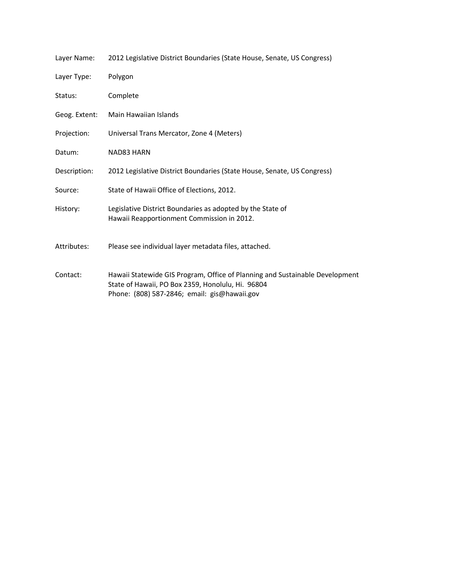| Layer Name:   | 2012 Legislative District Boundaries (State House, Senate, US Congress)                                                                                                           |
|---------------|-----------------------------------------------------------------------------------------------------------------------------------------------------------------------------------|
| Layer Type:   | Polygon                                                                                                                                                                           |
| Status:       | Complete                                                                                                                                                                          |
| Geog. Extent: | Main Hawaiian Islands                                                                                                                                                             |
| Projection:   | Universal Trans Mercator, Zone 4 (Meters)                                                                                                                                         |
| Datum:        | NAD83 HARN                                                                                                                                                                        |
| Description:  | 2012 Legislative District Boundaries (State House, Senate, US Congress)                                                                                                           |
| Source:       | State of Hawaii Office of Elections, 2012.                                                                                                                                        |
| History:      | Legislative District Boundaries as adopted by the State of<br>Hawaii Reapportionment Commission in 2012.                                                                          |
| Attributes:   | Please see individual layer metadata files, attached.                                                                                                                             |
| Contact:      | Hawaii Statewide GIS Program, Office of Planning and Sustainable Development<br>State of Hawaii, PO Box 2359, Honolulu, Hi. 96804<br>Phone: (808) 587-2846; email: gis@hawaii.gov |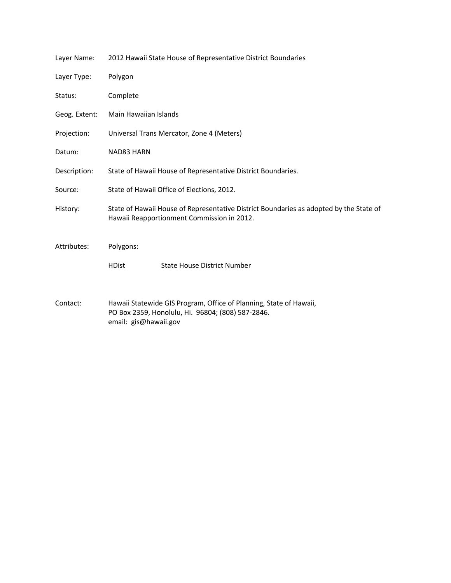| Layer Name:   | 2012 Hawaii State House of Representative District Boundaries                                                                                    |
|---------------|--------------------------------------------------------------------------------------------------------------------------------------------------|
| Layer Type:   | Polygon                                                                                                                                          |
| Status:       | Complete                                                                                                                                         |
| Geog. Extent: | Main Hawaiian Islands                                                                                                                            |
| Projection:   | Universal Trans Mercator, Zone 4 (Meters)                                                                                                        |
| Datum:        | NAD83 HARN                                                                                                                                       |
| Description:  | State of Hawaii House of Representative District Boundaries.                                                                                     |
| Source:       | State of Hawaii Office of Elections, 2012.                                                                                                       |
| History:      | State of Hawaii House of Representative District Boundaries as adopted by the State of<br>Hawaii Reapportionment Commission in 2012.             |
| Attributes:   | Polygons:                                                                                                                                        |
|               | <b>State House District Number</b><br><b>HDist</b>                                                                                               |
| Contact:      | Hawaii Statewide GIS Program, Office of Planning, State of Hawaii,<br>PO Box 2359, Honolulu, Hi. 96804; (808) 587-2846.<br>email: gis@hawaii.gov |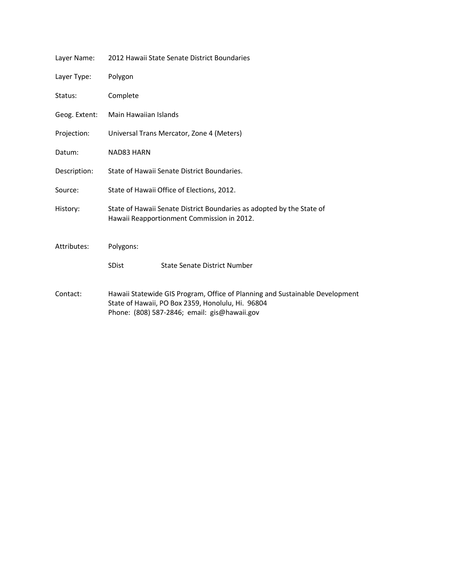| Layer Name:   | 2012 Hawaii State Senate District Boundaries                                                                                                                                      |
|---------------|-----------------------------------------------------------------------------------------------------------------------------------------------------------------------------------|
| Layer Type:   | Polygon                                                                                                                                                                           |
| Status:       | Complete                                                                                                                                                                          |
| Geog. Extent: | Main Hawaiian Islands                                                                                                                                                             |
| Projection:   | Universal Trans Mercator, Zone 4 (Meters)                                                                                                                                         |
| Datum:        | NAD83 HARN                                                                                                                                                                        |
| Description:  | State of Hawaii Senate District Boundaries.                                                                                                                                       |
| Source:       | State of Hawaii Office of Elections, 2012.                                                                                                                                        |
| History:      | State of Hawaii Senate District Boundaries as adopted by the State of<br>Hawaii Reapportionment Commission in 2012.                                                               |
| Attributes:   | Polygons:                                                                                                                                                                         |
|               | <b>SDist</b><br><b>State Senate District Number</b>                                                                                                                               |
| Contact:      | Hawaii Statewide GIS Program, Office of Planning and Sustainable Development<br>State of Hawaii, PO Box 2359, Honolulu, Hi. 96804<br>Phone: (808) 587-2846; email: gis@hawaii.gov |
|               |                                                                                                                                                                                   |